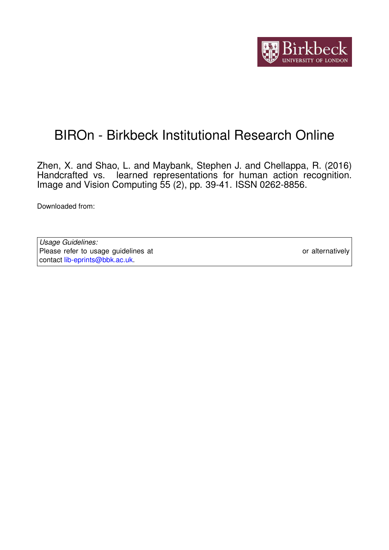

# BIROn - Birkbeck Institutional Research Online

Zhen, X. and Shao, L. and Maybank, Stephen J. and Chellappa, R. (2016) Handcrafted vs. learned representations for human action recognition. Image and Vision Computing 55 (2), pp. 39-41. ISSN 0262-8856.

Downloaded from: <https://eprints.bbk.ac.uk/id/eprint/17737/>

*Usage Guidelines:* Please refer to usage guidelines at <https://eprints.bbk.ac.uk/policies.html> or alternatively contact [lib-eprints@bbk.ac.uk.](mailto:lib-eprints@bbk.ac.uk)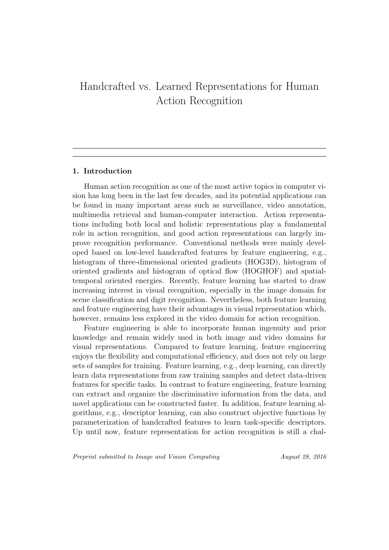# Handcrafted vs. Learned Representations for Human Action Recognition

# **1. Introduction**

Human action recognition as one of the most active topics in computer vision has long been in the last few decades, and its potential applications can be found in many important areas such as surveillance, video annotation, multimedia retrieval and human-computer interaction. Action representations including both local and holistic representations play a fundamental role in action recognition, and good action representations can largely improve recognition performance. Conventional methods were mainly developed based on low-level handcrafted features by feature engineering, e.g., histogram of three-dimensional oriented gradients (HOG3D), histogram of oriented gradients and histogram of optical flow (HOGHOF) and spatialtemporal oriented energies. Recently, feature learning has started to draw increasing interest in visual recognition, especially in the image domain for scene classification and digit recognition. Nevertheless, both feature learning and feature engineering have their advantages in visual representation which, however, remains less explored in the video domain for action recognition.

Feature engineering is able to incorporate human ingenuity and prior knowledge and remain widely used in both image and video domains for visual representations. Compared to feature learning, feature engineering enjoys the flexibility and computational efficiency, and does not rely on large sets of samples for training. Feature learning, e.g., deep learning, can directly learn data representations from raw training samples and detect data-driven features for specific tasks. In contrast to feature engineering, feature learning can extract and organize the discriminative information from the data, and novel applications can be constructed faster. In addition, feature learning algorithms, e.g., descriptor learning, can also construct objective functions by parameterization of handcrafted features to learn task-specific descriptors. Up until now, feature representation for action recognition is still a chal-

*Preprint submitted to Image and Vision Computing August 28, 2016*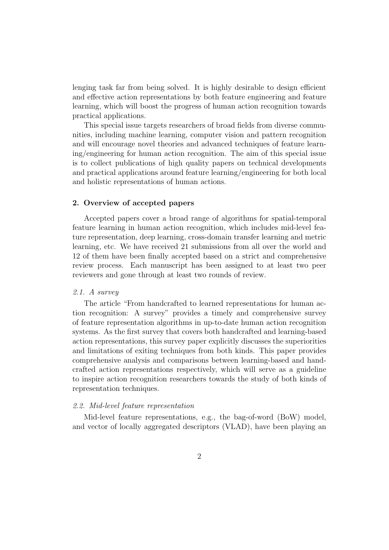lenging task far from being solved. It is highly desirable to design efficient and effective action representations by both feature engineering and feature learning, which will boost the progress of human action recognition towards practical applications.

This special issue targets researchers of broad fields from diverse communities, including machine learning, computer vision and pattern recognition and will encourage novel theories and advanced techniques of feature learning/engineering for human action recognition. The aim of this special issue is to collect publications of high quality papers on technical developments and practical applications around feature learning/engineering for both local and holistic representations of human actions.

#### **2. Overview of accepted papers**

Accepted papers cover a broad range of algorithms for spatial-temporal feature learning in human action recognition, which includes mid-level feature representation, deep learning, cross-domain transfer learning and metric learning, etc. We have received 21 submissions from all over the world and 12 of them have been finally accepted based on a strict and comprehensive review process. Each manuscript has been assigned to at least two peer reviewers and gone through at least two rounds of review.

#### *2.1. A survey*

The article "From handcrafted to learned representations for human action recognition: A survey" provides a timely and comprehensive survey of feature representation algorithms in up-to-date human action recognition systems. As the first survey that covers both handcrafted and learning-based action representations, this survey paper explicitly discusses the superiorities and limitations of exiting techniques from both kinds. This paper provides comprehensive analysis and comparisons between learning-based and handcrafted action representations respectively, which will serve as a guideline to inspire action recognition researchers towards the study of both kinds of representation techniques.

#### *2.2. Mid-level feature representation*

Mid-level feature representations, e.g., the bag-of-word (BoW) model, and vector of locally aggregated descriptors (VLAD), have been playing an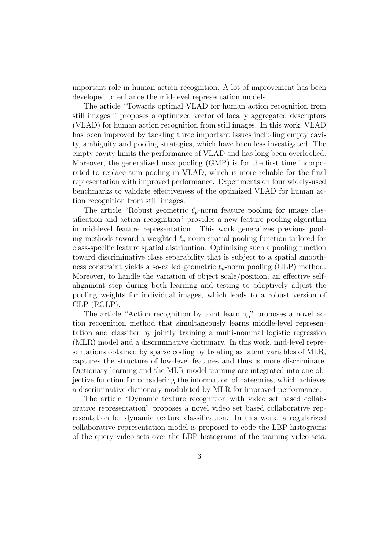important role in human action recognition. A lot of improvement has been developed to enhance the mid-level representation models.

The article "Towards optimal VLAD for human action recognition from still images " proposes a optimized vector of locally aggregated descriptors (VLAD) for human action recognition from still images. In this work, VLAD has been improved by tackling three important issues including empty cavity, ambiguity and pooling strategies, which have been less investigated. The empty cavity limits the performance of VLAD and has long been overlooked. Moreover, the generalized max pooling (GMP) is for the first time incorporated to replace sum pooling in VLAD, which is more reliable for the final representation with improved performance. Experiments on four widely-used benchmarks to validate effectiveness of the optimized VLAD for human action recognition from still images.

The article "Robust geometric *ℓp*-norm feature pooling for image classification and action recognition" provides a new feature pooling algorithm in mid-level feature representation. This work generalizes previous pooling methods toward a weighted *ℓp*-norm spatial pooling function tailored for class-specific feature spatial distribution. Optimizing such a pooling function toward discriminative class separability that is subject to a spatial smoothness constraint yields a so-called geometric *ℓp*-norm pooling (GLP) method. Moreover, to handle the variation of object scale/position, an effective selfalignment step during both learning and testing to adaptively adjust the pooling weights for individual images, which leads to a robust version of GLP (RGLP).

The article "Action recognition by joint learning" proposes a novel action recognition method that simultaneously learns middle-level representation and classifier by jointly training a multi-nominal logistic regression (MLR) model and a discriminative dictionary. In this work, mid-level representations obtained by sparse coding by treating as latent variables of MLR, captures the structure of low-level features and thus is more discriminate. Dictionary learning and the MLR model training are integrated into one objective function for considering the information of categories, which achieves a discriminative dictionary modulated by MLR for improved performance.

The article "Dynamic texture recognition with video set based collaborative representation" proposes a novel video set based collaborative representation for dynamic texture classification. In this work, a regularized collaborative representation model is proposed to code the LBP histograms of the query video sets over the LBP histograms of the training video sets.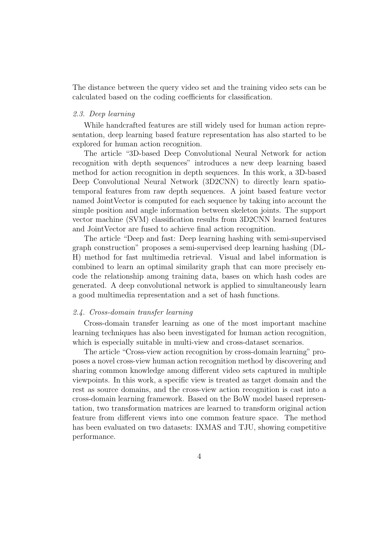The distance between the query video set and the training video sets can be calculated based on the coding coefficients for classification.

# *2.3. Deep learning*

While handcrafted features are still widely used for human action representation, deep learning based feature representation has also started to be explored for human action recognition.

The article "3D-based Deep Convolutional Neural Network for action recognition with depth sequences" introduces a new deep learning based method for action recognition in depth sequences. In this work, a 3D-based Deep Convolutional Neural Network (3D2CNN) to directly learn spatiotemporal features from raw depth sequences. A joint based feature vector named JointVector is computed for each sequence by taking into account the simple position and angle information between skeleton joints. The support vector machine (SVM) classification results from 3D2CNN learned features and JointVector are fused to achieve final action recognition.

The article "Deep and fast: Deep learning hashing with semi-supervised graph construction" proposes a semi-supervised deep learning hashing (DL-H) method for fast multimedia retrieval. Visual and label information is combined to learn an optimal similarity graph that can more precisely encode the relationship among training data, bases on which hash codes are generated. A deep convolutional network is applied to simultaneously learn a good multimedia representation and a set of hash functions.

#### *2.4. Cross-domain transfer learning*

Cross-domain transfer learning as one of the most important machine learning techniques has also been investigated for human action recognition, which is especially suitable in multi-view and cross-dataset scenarios.

The article "Cross-view action recognition by cross-domain learning" proposes a novel cross-view human action recognition method by discovering and sharing common knowledge among different video sets captured in multiple viewpoints. In this work, a specific view is treated as target domain and the rest as source domains, and the cross-view action recognition is cast into a cross-domain learning framework. Based on the BoW model based representation, two transformation matrices are learned to transform original action feature from different views into one common feature space. The method has been evaluated on two datasets: IXMAS and TJU, showing competitive performance.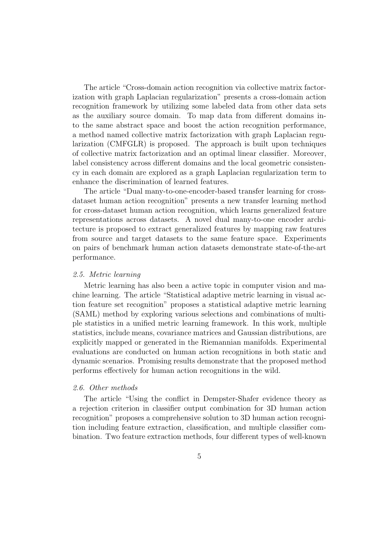The article "Cross-domain action recognition via collective matrix factorization with graph Laplacian regularization" presents a cross-domain action recognition framework by utilizing some labeled data from other data sets as the auxiliary source domain. To map data from different domains into the same abstract space and boost the action recognition performance, a method named collective matrix factorization with graph Laplacian regularization (CMFGLR) is proposed. The approach is built upon techniques of collective matrix factorization and an optimal linear classifier. Moreover, label consistency across different domains and the local geometric consistency in each domain are explored as a graph Laplacian regularization term to enhance the discrimination of learned features.

The article "Dual many-to-one-encoder-based transfer learning for crossdataset human action recognition" presents a new transfer learning method for cross-dataset human action recognition, which learns generalized feature representations across datasets. A novel dual many-to-one encoder architecture is proposed to extract generalized features by mapping raw features from source and target datasets to the same feature space. Experiments on pairs of benchmark human action datasets demonstrate state-of-the-art performance.

#### *2.5. Metric learning*

Metric learning has also been a active topic in computer vision and machine learning. The article "Statistical adaptive metric learning in visual action feature set recognition" proposes a statistical adaptive metric learning (SAML) method by exploring various selections and combinations of multiple statistics in a unified metric learning framework. In this work, multiple statistics, include means, covariance matrices and Gaussian distributions, are explicitly mapped or generated in the Riemannian manifolds. Experimental evaluations are conducted on human action recognitions in both static and dynamic scenarios. Promising results demonstrate that the proposed method performs effectively for human action recognitions in the wild.

#### *2.6. Other methods*

The article "Using the conflict in Dempster-Shafer evidence theory as a rejection criterion in classifier output combination for 3D human action recognition" proposes a comprehensive solution to 3D human action recognition including feature extraction, classification, and multiple classifier combination. Two feature extraction methods, four different types of well-known